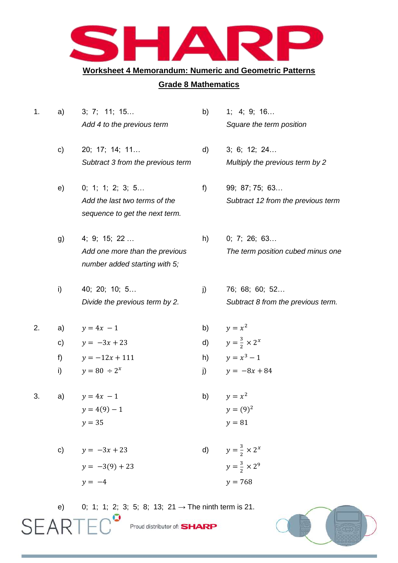

## **Worksheet 4 Memorandum: Numeric and Geometric Patterns**

## **Grade 8 Mathematics**

| 1. | a) | 3; 7; 11; 15                      | b) | 1; 4; 9; 16                        |
|----|----|-----------------------------------|----|------------------------------------|
|    |    | Add 4 to the previous term        |    | Square the term position           |
|    | c) | 20; 17; 14; 11                    | d) | 3; 6; 12; 24                       |
|    |    | Subtract 3 from the previous term |    | Multiply the previous term by 2    |
|    | e) | 0; 1; 1; 2; 3; 5                  | f) | 99; 87; 75; 63                     |
|    |    | Add the last two terms of the     |    | Subtract 12 from the previous term |
|    |    | sequence to get the next term.    |    |                                    |
|    | g) | 4; 9; 15; 22                      | h) | 0; 7; 26; 63                       |
|    |    | Add one more than the previous    |    | The term position cubed minus one  |
|    |    | number added starting with 5;     |    |                                    |
|    | i) | 40; 20; 10; 5                     | j) | 76; 68; 60; 52                     |
|    |    | Divide the previous term by 2.    |    | Subtract 8 from the previous term. |
| 2. | a) | $y = 4x - 1$                      | b) | $y = x^2$                          |
|    | c) | $y = -3x + 23$                    | d) | $y=\frac{3}{2}\times 2^x$          |
|    | f) | $y = -12x + 111$                  | h) | $y = x^3 - 1$                      |
|    | i) | $y = 80 \div 2^x$                 | j) | $y = -8x + 84$                     |
| 3. | a) | $y = 4x - 1$                      | b) | $y = x^2$                          |
|    |    | $y = 4(9) - 1$                    |    | $y = (9)^2$                        |
|    |    | $y = 35$                          |    | $y = 81$                           |
|    | C) | $y = -3x + 23$                    | d) | $y=\frac{3}{2}\times 2^x$          |
|    |    | $y = -3(9) + 23$                  |    | $y = \frac{3}{2} \times 2^9$       |
|    |    | $y = -4$                          |    | $y = 768$                          |
|    |    |                                   |    |                                    |

e) 0; 1; 1; 2; 3; 5; 8; 13; 21  $\rightarrow$  The ninth term is 21.<br>  $SEARTED$  Proud distributor of: SHARP

Proud distributor of: **SHARP** 

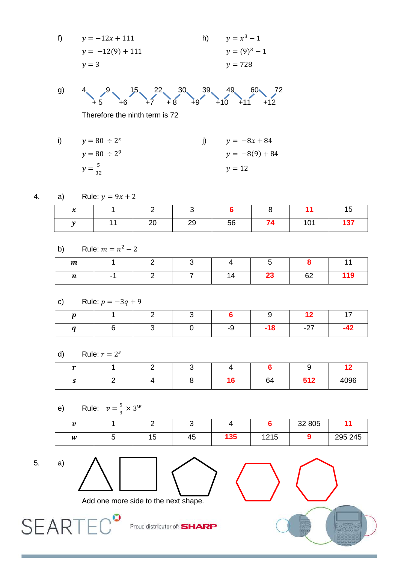f) 
$$
y = -12x + 111
$$
  
\n $y = -12(9) + 111$   
\n $y = 3$   
\nh)  $y = x^3 - 1$   
\n $y = (9)^3 - 1$   
\n $y = 728$ 

g) 4  
 
$$
4\begin{matrix}9\\+5\end{matrix}
$$
  $4\begin{matrix}15\\+7\end{matrix}$   $4\begin{matrix}22\\+8\end{matrix}$   $4\begin{matrix}30\\+9\end{matrix}$   $4\begin{matrix}9\\+10\end{matrix}$   $4\begin{matrix}60\\+11\end{matrix}$   $4\begin{matrix}72\\+12\end{matrix}$ 

Therefore the ninth term is 72

i) 
$$
y = 80 \div 2^{x}
$$
  
\nj)  $y = -8x + 84$   
\n $y = 80 \div 2^{9}$   
\nj)  $y = -8x + 84$   
\n $y = -8(9) + 84$   
\n $y = 12$ 

4. a) Rule: 
$$
y = 9x + 2
$$

| ∼ |          |          |    |    | . .      |        |
|---|----------|----------|----|----|----------|--------|
|   | <u>_</u> | ററ<br>∼∽ | 56 | __ | 101<br>. | $-427$ |

b) Rule: 
$$
m = n^2 - 2
$$

| $\boldsymbol{m}$ |  |  |              |     |
|------------------|--|--|--------------|-----|
| $\boldsymbol{n}$ |  |  | $\sim$<br>◡∠ | 119 |

c) Rule:  $p = -3q + 9$ 

|  |  | <b>b</b> |     |                                                                                                                                   |  |
|--|--|----------|-----|-----------------------------------------------------------------------------------------------------------------------------------|--|
|  |  | $-Q$     | -18 | $\begin{array}{ccc} \begin{array}{ccc} \end{array} & \begin{array}{ccc} \end{array} & \begin{array}{ccc} \end{array} \end{array}$ |  |

d) Rule:  $r = 2^s$ 

| $\overline{ }$ |  |  |              |            | . .  |
|----------------|--|--|--------------|------------|------|
|                |  |  | $\sim$<br>64 | 512<br>◡੶▴ | 4096 |

e) Rule: 
$$
v = \frac{5}{3} \times 3^w
$$

| $\mathbf{A}$ |           |    |     |            | 32 805 |         |
|--------------|-----------|----|-----|------------|--------|---------|
| W            | 1F<br>ں ו | 45 | 135 | 1215<br>ᇈᇅ |        | 295 245 |





**SEARTED** 



Add one more side to the next shape.

 $\sqrt{2}$ 

Proud distributor of: **SHARP**